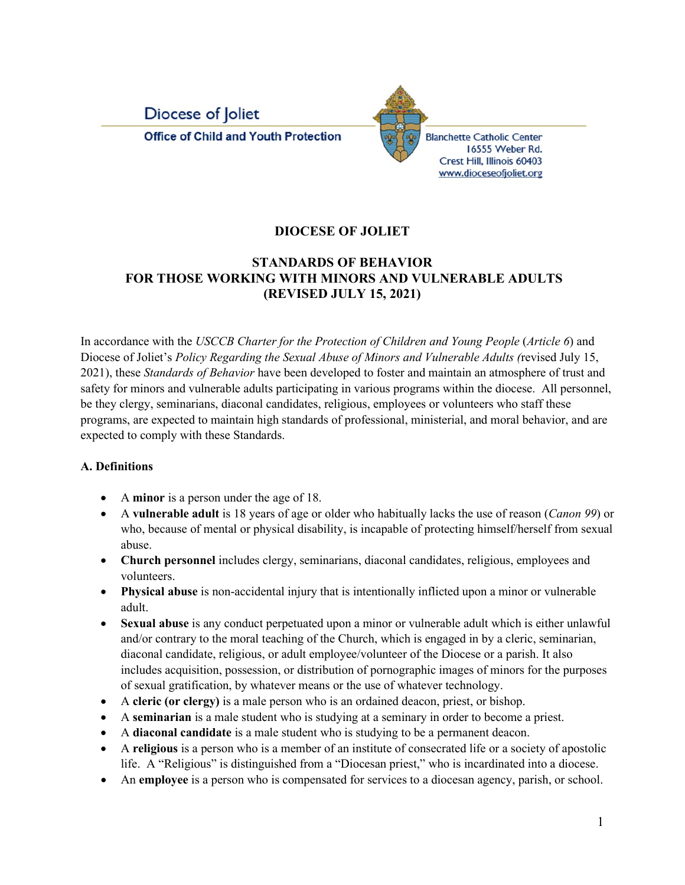

**Blanchette Catholic Center** 16555 Weber Rd. Crest Hill, Illinois 60403 www.dioceseofjoliet.org

### **DIOCESE OF JOLIET**

#### **STANDARDS OF BEHAVIOR FOR THOSE WORKING WITH MINORS AND VULNERABLE ADULTS (REVISED JULY 15, 2021)**

In accordance with the *USCCB Charter for the Protection of Children and Young People* (*Article 6*) and Diocese of Joliet's *Policy Regarding the Sexual Abuse of Minors and Vulnerable Adults (*revised July 15, 2021), these *Standards of Behavior* have been developed to foster and maintain an atmosphere of trust and safety for minors and vulnerable adults participating in various programs within the diocese. All personnel, be they clergy, seminarians, diaconal candidates, religious, employees or volunteers who staff these programs, are expected to maintain high standards of professional, ministerial, and moral behavior, and are expected to comply with these Standards.

#### **A. Definitions**

- A **minor** is a person under the age of 18.
- A **vulnerable adult** is 18 years of age or older who habitually lacks the use of reason (*Canon 99*) or who, because of mental or physical disability, is incapable of protecting himself/herself from sexual abuse.
- **Church personnel** includes clergy, seminarians, diaconal candidates, religious, employees and volunteers.
- **Physical abuse** is non-accidental injury that is intentionally inflicted upon a minor or vulnerable adult.
- **Sexual abuse** is any conduct perpetuated upon a minor or vulnerable adult which is either unlawful and/or contrary to the moral teaching of the Church, which is engaged in by a cleric, seminarian, diaconal candidate, religious, or adult employee/volunteer of the Diocese or a parish. It also includes acquisition, possession, or distribution of pornographic images of minors for the purposes of sexual gratification, by whatever means or the use of whatever technology.
- A **cleric (or clergy)** is a male person who is an ordained deacon, priest, or bishop.
- A **seminarian** is a male student who is studying at a seminary in order to become a priest.
- A **diaconal candidate** is a male student who is studying to be a permanent deacon.
- A **religious** is a person who is a member of an institute of consecrated life or a society of apostolic life. A "Religious" is distinguished from a "Diocesan priest," who is incardinated into a diocese.
- An **employee** is a person who is compensated for services to a diocesan agency, parish, or school.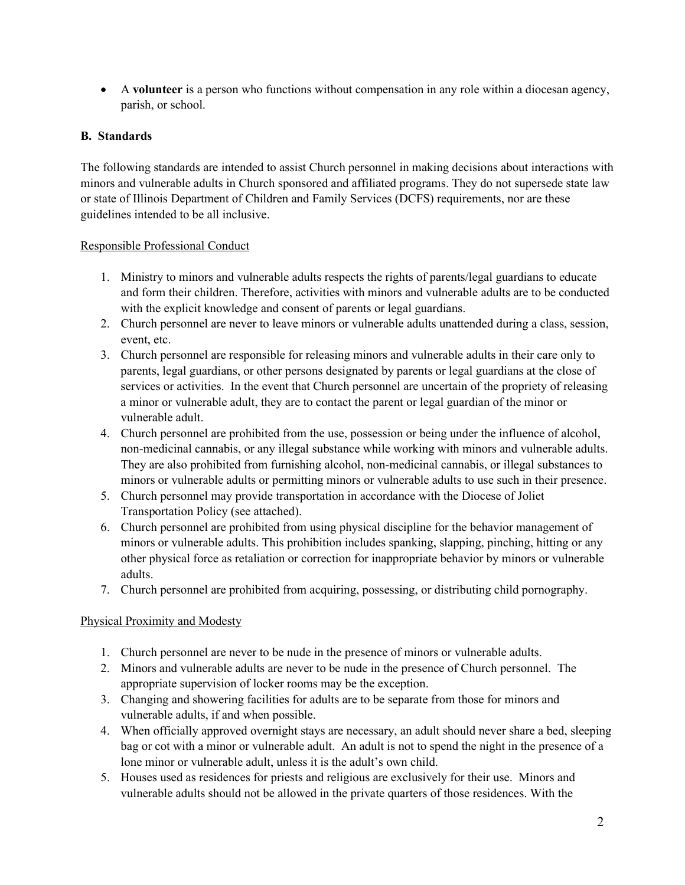• A **volunteer** is a person who functions without compensation in any role within a diocesan agency, parish, or school.

#### **B. Standards**

The following standards are intended to assist Church personnel in making decisions about interactions with minors and vulnerable adults in Church sponsored and affiliated programs. They do not supersede state law or state of Illinois Department of Children and Family Services (DCFS) requirements, nor are these guidelines intended to be all inclusive.

#### Responsible Professional Conduct

- 1. Ministry to minors and vulnerable adults respects the rights of parents/legal guardians to educate and form their children. Therefore, activities with minors and vulnerable adults are to be conducted with the explicit knowledge and consent of parents or legal guardians.
- 2. Church personnel are never to leave minors or vulnerable adults unattended during a class, session, event, etc.
- 3. Church personnel are responsible for releasing minors and vulnerable adults in their care only to parents, legal guardians, or other persons designated by parents or legal guardians at the close of services or activities. In the event that Church personnel are uncertain of the propriety of releasing a minor or vulnerable adult, they are to contact the parent or legal guardian of the minor or vulnerable adult.
- 4. Church personnel are prohibited from the use, possession or being under the influence of alcohol, non-medicinal cannabis, or any illegal substance while working with minors and vulnerable adults. They are also prohibited from furnishing alcohol, non-medicinal cannabis, or illegal substances to minors or vulnerable adults or permitting minors or vulnerable adults to use such in their presence.
- 5. Church personnel may provide transportation in accordance with the Diocese of Joliet Transportation Policy (see attached).
- 6. Church personnel are prohibited from using physical discipline for the behavior management of minors or vulnerable adults. This prohibition includes spanking, slapping, pinching, hitting or any other physical force as retaliation or correction for inappropriate behavior by minors or vulnerable adults.
- 7. Church personnel are prohibited from acquiring, possessing, or distributing child pornography.

#### Physical Proximity and Modesty

- 1. Church personnel are never to be nude in the presence of minors or vulnerable adults.
- 2. Minors and vulnerable adults are never to be nude in the presence of Church personnel. The appropriate supervision of locker rooms may be the exception.
- 3. Changing and showering facilities for adults are to be separate from those for minors and vulnerable adults, if and when possible.
- 4. When officially approved overnight stays are necessary, an adult should never share a bed, sleeping bag or cot with a minor or vulnerable adult. An adult is not to spend the night in the presence of a lone minor or vulnerable adult, unless it is the adult's own child.
- 5. Houses used as residences for priests and religious are exclusively for their use. Minors and vulnerable adults should not be allowed in the private quarters of those residences. With the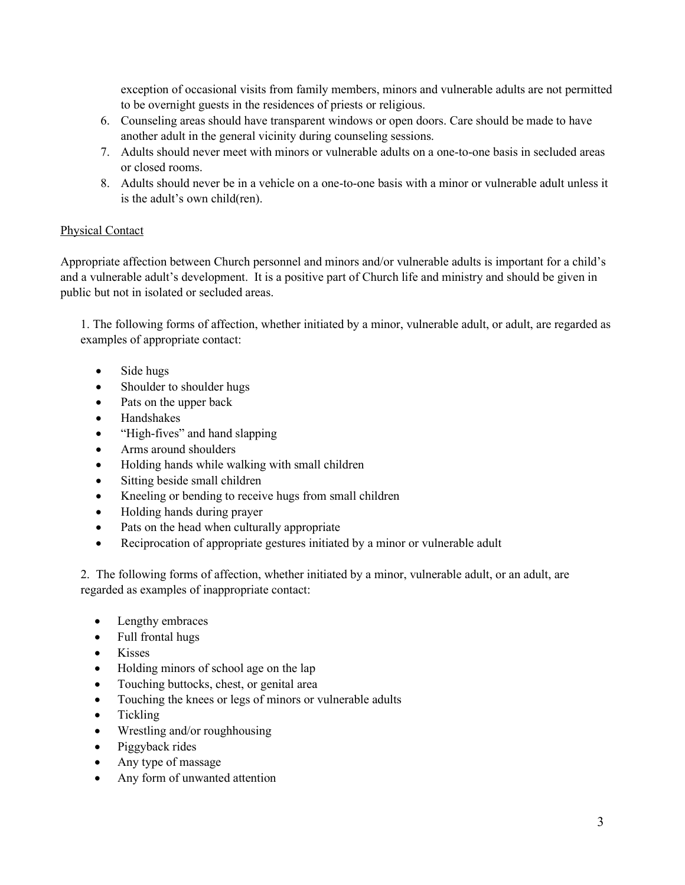exception of occasional visits from family members, minors and vulnerable adults are not permitted to be overnight guests in the residences of priests or religious.

- 6. Counseling areas should have transparent windows or open doors. Care should be made to have another adult in the general vicinity during counseling sessions.
- 7. Adults should never meet with minors or vulnerable adults on a one-to-one basis in secluded areas or closed rooms.
- 8. Adults should never be in a vehicle on a one-to-one basis with a minor or vulnerable adult unless it is the adult's own child(ren).

#### Physical Contact

Appropriate affection between Church personnel and minors and/or vulnerable adults is important for a child's and a vulnerable adult's development. It is a positive part of Church life and ministry and should be given in public but not in isolated or secluded areas.

1. The following forms of affection, whether initiated by a minor, vulnerable adult, or adult, are regarded as examples of appropriate contact:

- Side hugs
- Shoulder to shoulder hugs
- Pats on the upper back
- Handshakes
- "High-fives" and hand slapping
- Arms around shoulders
- Holding hands while walking with small children
- Sitting beside small children
- Kneeling or bending to receive hugs from small children
- Holding hands during prayer
- Pats on the head when culturally appropriate
- Reciprocation of appropriate gestures initiated by a minor or vulnerable adult

2. The following forms of affection, whether initiated by a minor, vulnerable adult, or an adult, are regarded as examples of inappropriate contact:

- Lengthy embraces
- Full frontal hugs
- Kisses
- Holding minors of school age on the lap
- Touching buttocks, chest, or genital area
- Touching the knees or legs of minors or vulnerable adults
- Tickling
- Wrestling and/or roughhousing
- Piggyback rides
- Any type of massage
- Any form of unwanted attention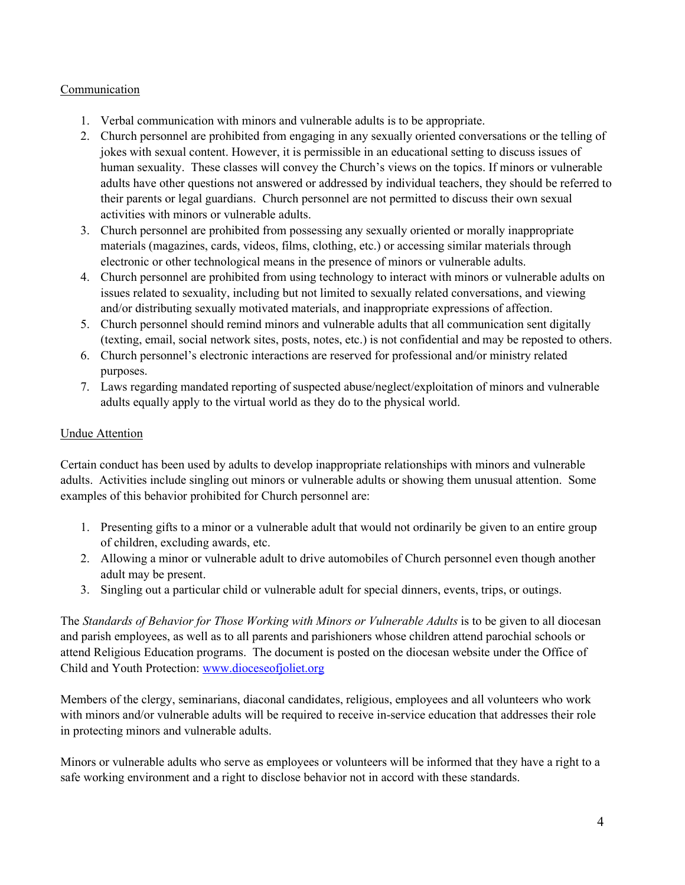#### Communication

- 1. Verbal communication with minors and vulnerable adults is to be appropriate.
- 2. Church personnel are prohibited from engaging in any sexually oriented conversations or the telling of jokes with sexual content. However, it is permissible in an educational setting to discuss issues of human sexuality. These classes will convey the Church's views on the topics. If minors or vulnerable adults have other questions not answered or addressed by individual teachers, they should be referred to their parents or legal guardians. Church personnel are not permitted to discuss their own sexual activities with minors or vulnerable adults.
- 3. Church personnel are prohibited from possessing any sexually oriented or morally inappropriate materials (magazines, cards, videos, films, clothing, etc.) or accessing similar materials through electronic or other technological means in the presence of minors or vulnerable adults.
- 4. Church personnel are prohibited from using technology to interact with minors or vulnerable adults on issues related to sexuality, including but not limited to sexually related conversations, and viewing and/or distributing sexually motivated materials, and inappropriate expressions of affection.
- 5. Church personnel should remind minors and vulnerable adults that all communication sent digitally (texting, email, social network sites, posts, notes, etc.) is not confidential and may be reposted to others.
- 6. Church personnel's electronic interactions are reserved for professional and/or ministry related purposes.
- 7. Laws regarding mandated reporting of suspected abuse/neglect/exploitation of minors and vulnerable adults equally apply to the virtual world as they do to the physical world.

#### Undue Attention

Certain conduct has been used by adults to develop inappropriate relationships with minors and vulnerable adults. Activities include singling out minors or vulnerable adults or showing them unusual attention. Some examples of this behavior prohibited for Church personnel are:

- 1. Presenting gifts to a minor or a vulnerable adult that would not ordinarily be given to an entire group of children, excluding awards, etc.
- 2. Allowing a minor or vulnerable adult to drive automobiles of Church personnel even though another adult may be present.
- 3. Singling out a particular child or vulnerable adult for special dinners, events, trips, or outings.

The *Standards of Behavior for Those Working with Minors or Vulnerable Adults* is to be given to all diocesan and parish employees, as well as to all parents and parishioners whose children attend parochial schools or attend Religious Education programs. The document is posted on the diocesan website under the Office of Child and Youth Protection: [www.dioceseofjoliet.org](http://www.dioceseofjoliet.org/)

Members of the clergy, seminarians, diaconal candidates, religious, employees and all volunteers who work with minors and/or vulnerable adults will be required to receive in-service education that addresses their role in protecting minors and vulnerable adults.

Minors or vulnerable adults who serve as employees or volunteers will be informed that they have a right to a safe working environment and a right to disclose behavior not in accord with these standards.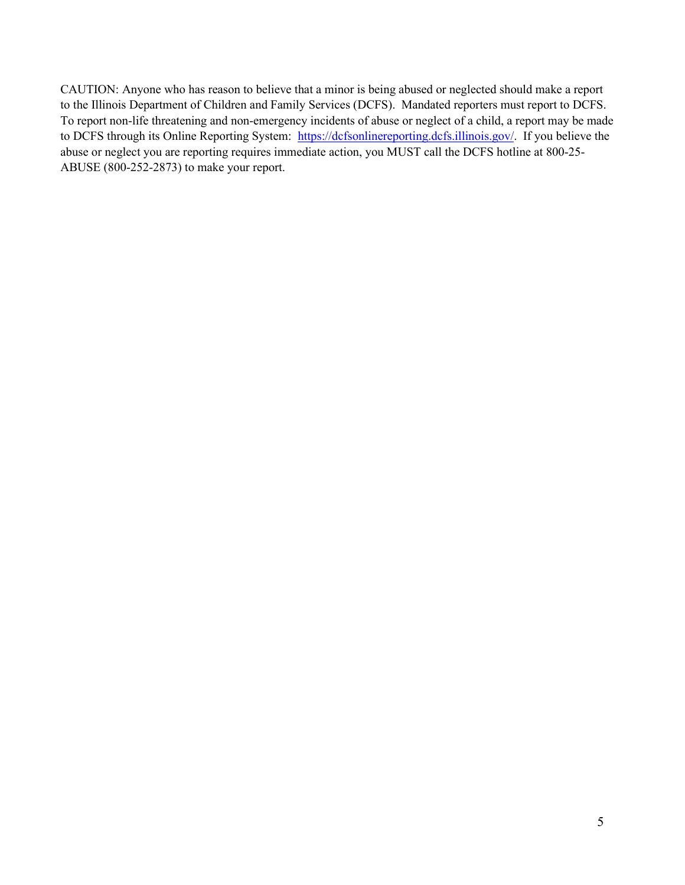CAUTION: Anyone who has reason to believe that a minor is being abused or neglected should make a report to the Illinois Department of Children and Family Services (DCFS). Mandated reporters must report to DCFS. To report non-life threatening and non-emergency incidents of abuse or neglect of a child, a report may be made to DCFS through its Online Reporting System: [https://dcfsonlinereporting.dcfs.illinois.gov/.](https://dcfsonlinereporting.dcfs.illinois.gov/) If you believe the abuse or neglect you are reporting requires immediate action, you MUST call the DCFS hotline at 800-25- ABUSE (800-252-2873) to make your report.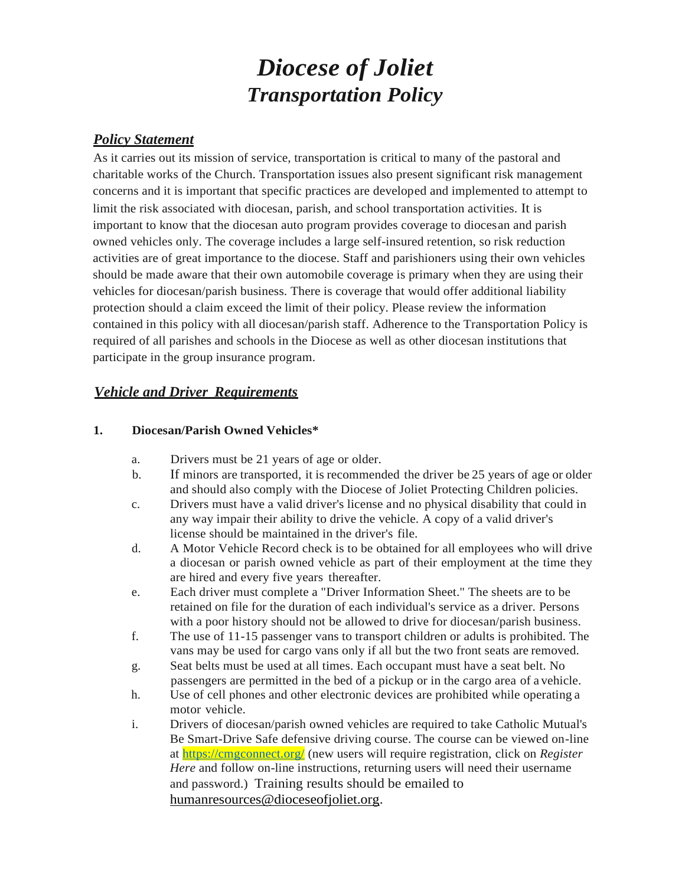# *Diocese of Joliet Transportation Policy*

### *Policy Statement*

As it carries out its mission of service, transportation is critical to many of the pastoral and charitable works of the Church. Transportation issues also present significant risk management concerns and it is important that specific practices are developed and implemented to attempt to limit the risk associated with diocesan, parish, and school transportation activities. It is important to know that the diocesan auto program provides coverage to diocesan and parish owned vehicles only. The coverage includes a large self-insured retention, so risk reduction activities are of great importance to the diocese. Staff and parishioners using their own vehicles should be made aware that their own automobile coverage is primary when they are using their vehicles for diocesan/parish business. There is coverage that would offer additional liability protection should a claim exceed the limit of their policy. Please review the information contained in this policy with all diocesan/parish staff. Adherence to the Transportation Policy is required of all parishes and schools in the Diocese as well as other diocesan institutions that participate in the group insurance program.

# *Vehicle and Driver Requirements*

#### **1. Diocesan/Parish Owned Vehicles\***

- a. Drivers must be 21 years of age or older.
- b. If minors are transported, it is recommended the driver be 25 years of age or older and should also comply with the Diocese of Joliet Protecting Children policies.
- c. Drivers must have a valid driver's license and no physical disability that could in any way impair their ability to drive the vehicle. A copy of a valid driver's license should be maintained in the driver's file.
- d. A Motor Vehicle Record check is to be obtained for all employees who will drive a diocesan or parish owned vehicle as part of their employment at the time they are hired and every five years thereafter.
- e. Each driver must complete a "Driver Information Sheet." The sheets are to be retained on file for the duration of each individual's service as a driver. Persons with a poor history should not be allowed to drive for diocesan/parish business.
- f. The use of 11-15 passenger vans to transport children or adults is prohibited. The vans may be used for cargo vans only if all but the two front seats are removed.
- g. Seat belts must be used at all times. Each occupant must have a seat belt. No passengers are permitted in the bed of a pickup or in the cargo area of a vehicle.
- h. Use of cell phones and other electronic devices are prohibited while operating a motor vehicle.
- i. Drivers of diocesan/parish owned vehicles are required to take Catholic Mutual's Be Smart-Drive Safe defensive driving course. The course can be viewed on-line at<https://cmgconnect.org/> (new users will require registration, click on *Register Here* and follow on-line instructions, returning users will need their username and password.) Training results should be emailed to [humanresources@dioceseofjoliet.org.](mailto:humanresources@dioceseofjoliet.org)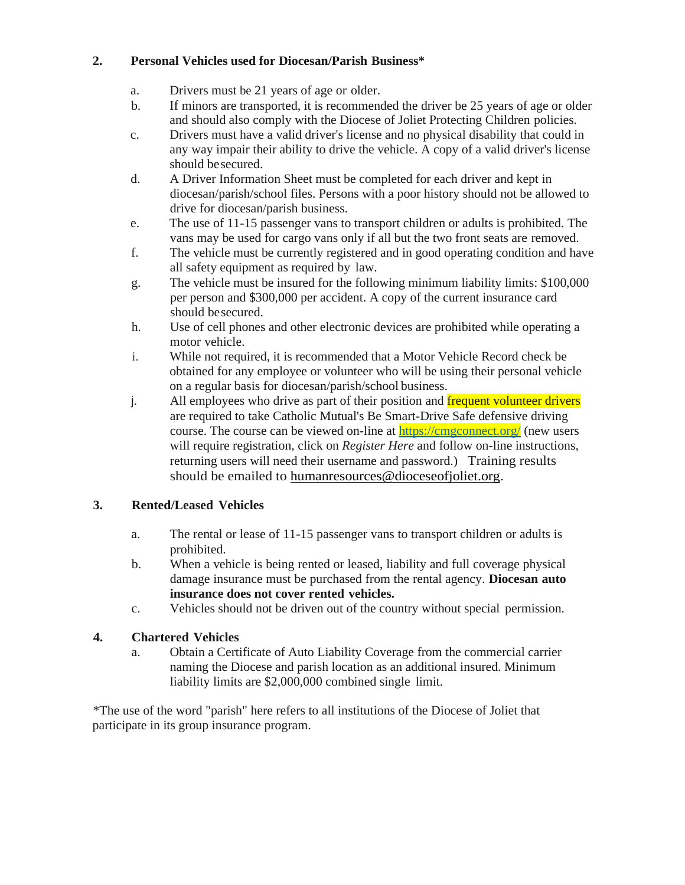#### **2. Personal Vehicles used for Diocesan/Parish Business\***

- a. Drivers must be 21 years of age or older.
- b. If minors are transported, it is recommended the driver be 25 years of age or older and should also comply with the Diocese of Joliet Protecting Children policies.
- c. Drivers must have a valid driver's license and no physical disability that could in any way impair their ability to drive the vehicle. A copy of a valid driver's license should besecured.
- d. A Driver Information Sheet must be completed for each driver and kept in diocesan/parish/school files. Persons with a poor history should not be allowed to drive for diocesan/parish business.
- e. The use of 11-15 passenger vans to transport children or adults is prohibited. The vans may be used for cargo vans only if all but the two front seats are removed.
- f. The vehicle must be currently registered and in good operating condition and have all safety equipment as required by law.
- g. The vehicle must be insured for the following minimum liability limits: \$100,000 per person and \$300,000 per accident. A copy of the current insurance card should besecured.
- h. Use of cell phones and other electronic devices are prohibited while operating a motor vehicle.
- i. While not required, it is recommended that a Motor Vehicle Record check be obtained for any employee or volunteer who will be using their personal vehicle on a regular basis for diocesan/parish/school business.
- j. All employees who drive as part of their position and frequent volunteer drivers are required to take Catholic Mutual's Be Smart-Drive Safe defensive driving course. The course can be viewed on-line at <https://cmgconnect.org/> (new users will require registration, click on *Register Here* and follow on-line instructions, returning users will need their username and password.) Training results should be emailed to humanresources@dioceseofioliet.org.

# **3. Rented/Leased Vehicles**

- a. The rental or lease of 11-15 passenger vans to transport children or adults is prohibited.
- b. When a vehicle is being rented or leased, liability and full coverage physical damage insurance must be purchased from the rental agency. **Diocesan auto insurance does not cover rented vehicles.**
- c. Vehicles should not be driven out of the country without special permission.

# **4. Chartered Vehicles**

a. Obtain a Certificate of Auto Liability Coverage from the commercial carrier naming the Diocese and parish location as an additional insured. Minimum liability limits are \$2,000,000 combined single limit.

\*The use of the word "parish" here refers to all institutions of the Diocese of Joliet that participate in its group insurance program.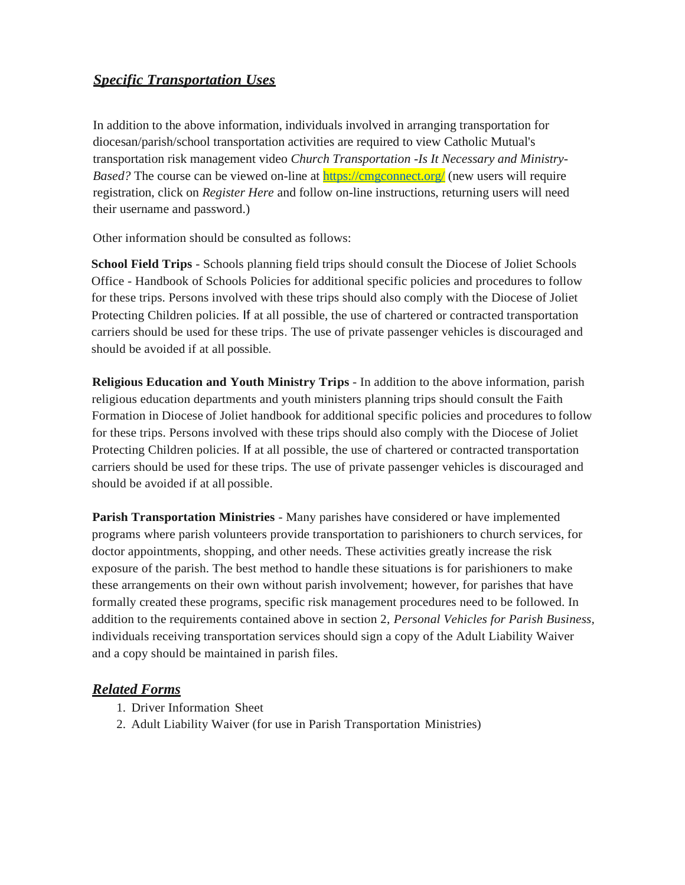# *Specific Transportation Uses*

In addition to the above information, individuals involved in arranging transportation for diocesan/parish/school transportation activities are required to view Catholic Mutual's transportation risk management video *Church Transportation -Is It Necessary and Ministry-Based?* The course can be viewed on-line at<https://cmgconnect.org/> (new users will require registration, click on *Register Here* and follow on-line instructions, returning users will need their username and password.)

Other information should be consulted as follows:

**School Field Trips** - Schools planning field trips should consult the Diocese of Joliet Schools Office - Handbook of Schools Policies for additional specific policies and procedures to follow for these trips. Persons involved with these trips should also comply with the Diocese of Joliet Protecting Children policies. If at all possible, the use of chartered or contracted transportation carriers should be used for these trips. The use of private passenger vehicles is discouraged and should be avoided if at all possible.

**Religious Education and Youth Ministry Trips** - In addition to the above information, parish religious education departments and youth ministers planning trips should consult the Faith Formation in Diocese of Joliet handbook for additional specific policies and procedures to follow for these trips. Persons involved with these trips should also comply with the Diocese of Joliet Protecting Children policies. If at all possible, the use of chartered or contracted transportation carriers should be used for these trips. The use of private passenger vehicles is discouraged and should be avoided if at all possible.

**Parish Transportation Ministries** - Many parishes have considered or have implemented programs where parish volunteers provide transportation to parishioners to church services, for doctor appointments, shopping, and other needs. These activities greatly increase the risk exposure of the parish. The best method to handle these situations is for parishioners to make these arrangements on their own without parish involvement; however, for parishes that have formally created these programs, specific risk management procedures need to be followed. In addition to the requirements contained above in section 2, *Personal Vehicles for Parish Business,*  individuals receiving transportation services should sign a copy of the Adult Liability Waiver and a copy should be maintained in parish files.

#### *Related Forms*

- 1. Driver Information Sheet
- 2. Adult Liability Waiver (for use in Parish Transportation Ministries)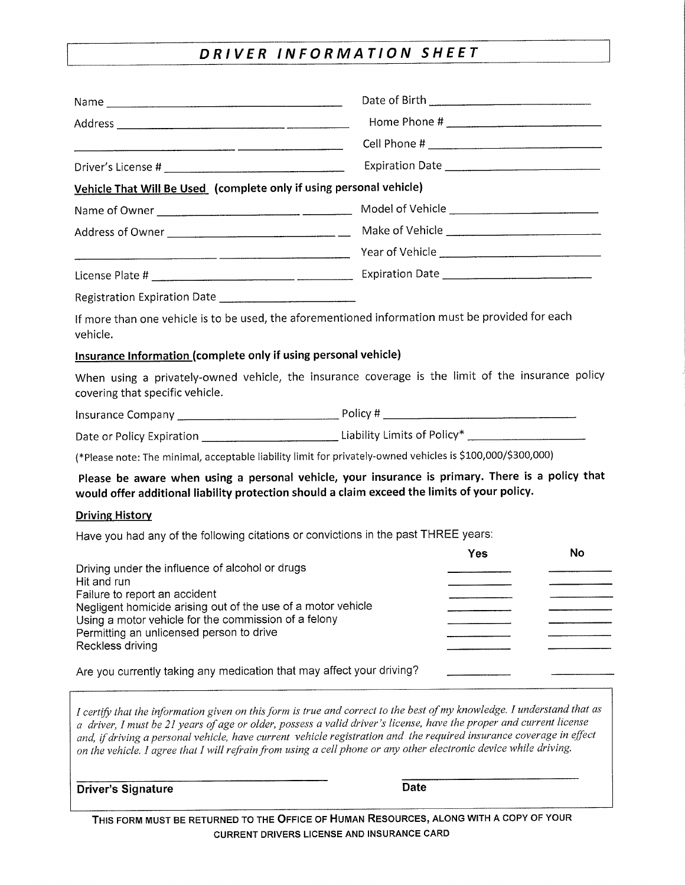# DRIVER INFORMATION SHEET

| Vehicle That Will Be Used (complete only if using personal vehicle)                                                                                                                                                                                                                                                                                                                                                                                                                        |  |     |    |  |
|--------------------------------------------------------------------------------------------------------------------------------------------------------------------------------------------------------------------------------------------------------------------------------------------------------------------------------------------------------------------------------------------------------------------------------------------------------------------------------------------|--|-----|----|--|
|                                                                                                                                                                                                                                                                                                                                                                                                                                                                                            |  |     |    |  |
|                                                                                                                                                                                                                                                                                                                                                                                                                                                                                            |  |     |    |  |
|                                                                                                                                                                                                                                                                                                                                                                                                                                                                                            |  |     |    |  |
|                                                                                                                                                                                                                                                                                                                                                                                                                                                                                            |  |     |    |  |
| Registration Expiration Date [198] [198] The Registration Expiration Date [198] [198] The Registration Property                                                                                                                                                                                                                                                                                                                                                                            |  |     |    |  |
| If more than one vehicle is to be used, the aforementioned information must be provided for each<br>vehicle.                                                                                                                                                                                                                                                                                                                                                                               |  |     |    |  |
| Insurance Information (complete only if using personal vehicle)                                                                                                                                                                                                                                                                                                                                                                                                                            |  |     |    |  |
| When using a privately-owned vehicle, the insurance coverage is the limit of the insurance policy<br>covering that specific vehicle.                                                                                                                                                                                                                                                                                                                                                       |  |     |    |  |
|                                                                                                                                                                                                                                                                                                                                                                                                                                                                                            |  |     |    |  |
| Date or Policy Expiration ________________________________Liability Limits of Policy* ________________________                                                                                                                                                                                                                                                                                                                                                                             |  |     |    |  |
| (*Please note: The minimal, acceptable liability limit for privately-owned vehicles is \$100,000/\$300,000)                                                                                                                                                                                                                                                                                                                                                                                |  |     |    |  |
| Please be aware when using a personal vehicle, your insurance is primary. There is a policy that<br>would offer additional liability protection should a claim exceed the limits of your policy.                                                                                                                                                                                                                                                                                           |  |     |    |  |
| <b>Driving History</b>                                                                                                                                                                                                                                                                                                                                                                                                                                                                     |  |     |    |  |
| Have you had any of the following citations or convictions in the past THREE years:                                                                                                                                                                                                                                                                                                                                                                                                        |  |     |    |  |
| Driving under the influence of alcohol or drugs<br>Hit and run<br>Failure to report an accident<br>Negligent homicide arising out of the use of a motor vehicle<br>Using a motor vehicle for the commission of a felony<br>Permitting an unlicensed person to drive                                                                                                                                                                                                                        |  | Yes | No |  |
| Reckless driving                                                                                                                                                                                                                                                                                                                                                                                                                                                                           |  |     |    |  |
| Are you currently taking any medication that may affect your driving?                                                                                                                                                                                                                                                                                                                                                                                                                      |  |     |    |  |
| I certify that the information given on this form is true and correct to the best of my knowledge. I understand that as<br>a driver, I must be 21 years of age or older, possess a valid driver's license, have the proper and current license<br>and, if driving a personal vehicle, have current vehicle registration and the required insurance coverage in effect<br>on the vehicle. I agree that I will refrain from using a cell phone or any other electronic device while driving. |  |     |    |  |

THIS FORM MUST BE RETURNED TO THE OFFICE OF HUMAN RESOURCES, ALONG WITH A COPY OF YOUR CURRENT DRIVERS LICENSE AND INSURANCE CARD

**Date** 

**Driver's Signature**